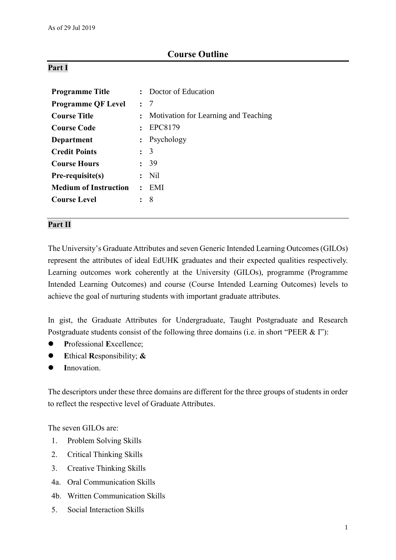# **Course Outline**

# **Part I**

| <b>Programme Title</b>       |                | Doctor of Education                  |  |
|------------------------------|----------------|--------------------------------------|--|
| <b>Programme QF Level</b>    |                | $\cdot$ 7                            |  |
| <b>Course Title</b>          | $\mathbf{L}$   | Motivation for Learning and Teaching |  |
| <b>Course Code</b>           | $\cdot$ .      | EPC8179                              |  |
| Department                   |                | : Psychology                         |  |
| <b>Credit Points</b>         |                | $\colon$ 3                           |  |
| <b>Course Hours</b>          | $\ddot{\cdot}$ | -39                                  |  |
| Pre-requisite(s)             |                | Nil                                  |  |
| <b>Medium of Instruction</b> |                | EMI                                  |  |
| <b>Course Level</b>          |                | 8                                    |  |

## **Part II**

The University's Graduate Attributes and seven Generic Intended Learning Outcomes (GILOs) represent the attributes of ideal EdUHK graduates and their expected qualities respectively. Learning outcomes work coherently at the University (GILOs), programme (Programme Intended Learning Outcomes) and course (Course Intended Learning Outcomes) levels to achieve the goal of nurturing students with important graduate attributes.

In gist, the Graduate Attributes for Undergraduate, Taught Postgraduate and Research Postgraduate students consist of the following three domains (i.e. in short "PEER & I"):

- **P**rofessional **E**xcellence;
- **E**thical **R**esponsibility; **&**
- **I**nnovation.

The descriptors under these three domains are different for the three groups of students in order to reflect the respective level of Graduate Attributes.

The seven GILOs are:

- 1. Problem Solving Skills
- 2. Critical Thinking Skills
- 3. Creative Thinking Skills
- 4a. Oral Communication Skills
- 4b. Written Communication Skills
- 5. Social Interaction Skills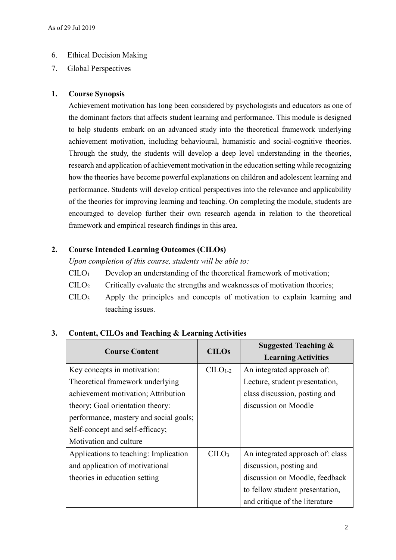# 6. Ethical Decision Making

7. Global Perspectives

# **1. Course Synopsis**

Achievement motivation has long been considered by psychologists and educators as one of the dominant factors that affects student learning and performance. This module is designed to help students embark on an advanced study into the theoretical framework underlying achievement motivation, including behavioural, humanistic and social-cognitive theories. Through the study, the students will develop a deep level understanding in the theories, research and application of achievement motivation in the education setting while recognizing how the theories have become powerful explanations on children and adolescent learning and performance. Students will develop critical perspectives into the relevance and applicability of the theories for improving learning and teaching. On completing the module, students are encouraged to develop further their own research agenda in relation to the theoretical framework and empirical research findings in this area.

# **2. Course Intended Learning Outcomes (CILOs)**

*Upon completion of this course, students will be able to:*

- $CILO<sub>1</sub>$  Develop an understanding of the theoretical framework of motivation;
- $\text{CILO}_2$  Critically evaluate the strengths and weaknesses of motivation theories;
- $C I L O<sub>3</sub>$  Apply the principles and concepts of motivation to explain learning and teaching issues.

| <b>Course Content</b>                  | <b>CILOs</b>     | <b>Suggested Teaching &amp;</b><br><b>Learning Activities</b> |
|----------------------------------------|------------------|---------------------------------------------------------------|
| Key concepts in motivation:            | $C1-2$           | An integrated approach of:                                    |
| Theoretical framework underlying       |                  | Lecture, student presentation,                                |
| achievement motivation; Attribution    |                  | class discussion, posting and                                 |
| theory; Goal orientation theory:       |                  | discussion on Moodle                                          |
| performance, mastery and social goals; |                  |                                                               |
| Self-concept and self-efficacy;        |                  |                                                               |
| Motivation and culture                 |                  |                                                               |
| Applications to teaching: Implication  | CLO <sub>3</sub> | An integrated approach of: class                              |
| and application of motivational        |                  | discussion, posting and                                       |
| theories in education setting          |                  | discussion on Moodle, feedback                                |
|                                        |                  | to fellow student presentation,                               |
|                                        |                  | and critique of the literature                                |

# **3. Content, CILOs and Teaching & Learning Activities**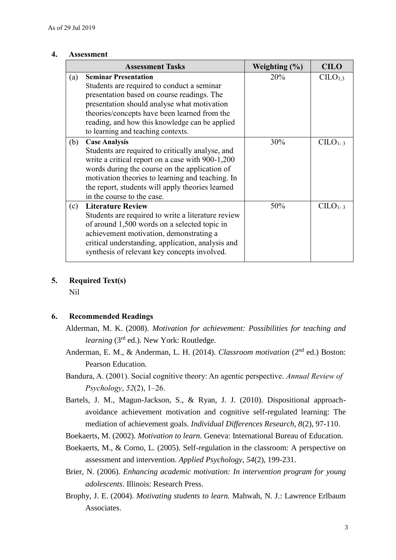### **4. Assessment**

|     | <b>Assessment Tasks</b>                                                                                                                                                                                                                                                                                             | Weighting $(\% )$ | <b>CILO</b>         |
|-----|---------------------------------------------------------------------------------------------------------------------------------------------------------------------------------------------------------------------------------------------------------------------------------------------------------------------|-------------------|---------------------|
| (a) | <b>Seminar Presentation</b><br>Students are required to conduct a seminar<br>presentation based on course readings. The<br>presentation should analyse what motivation<br>theories/concepts have been learned from the<br>reading, and how this knowledge can be applied<br>to learning and teaching contexts.      | 20%               | CLLO <sub>1,3</sub> |
| (b) | <b>Case Analysis</b><br>Students are required to critically analyse, and<br>write a critical report on a case with 900-1,200<br>words during the course on the application of<br>motivation theories to learning and teaching. In<br>the report, students will apply theories learned<br>in the course to the case. | 30%               | $CILO1-3$           |
| (c) | <b>Literature Review</b><br>Students are required to write a literature review<br>of around 1,500 words on a selected topic in<br>achievement motivation, demonstrating a<br>critical understanding, application, analysis and<br>synthesis of relevant key concepts involved.                                      | 50%               | $CIIO1-3$           |

# **5. Required Text(s)**

Nil

# **6. Recommended Readings**

- Alderman, M. K. (2008). *Motivation for achievement: Possibilities for teaching and learning* (3rd ed.)*.* New York: Routledge.
- Anderman, E. M., & Anderman, L. H. (2014). *Classroom motivation* (2<sup>nd</sup> ed.) Boston: Pearson Education.
- Bandura, A. (2001). Social cognitive theory: An agentic perspective. *Annual Review of Psychology*, *52*(2), 1–26.
- Bartels, J. M., Magun-Jackson, S., & Ryan, J. J. (2010). Dispositional approachavoidance achievement motivation and cognitive self-regulated learning: The mediation of achievement goals. *Individual Differences Research, 8*(2), 97-110.
- Boekaerts, M. (2002). *Motivation to learn.* Geneva: International Bureau of Education.
- Boekaerts, M., & Corno, L. (2005). Self-regulation in the classroom: A perspective on assessment and intervention. *Applied Psychology, 54*(2), 199-231.
- Brier, N. (2006). *Enhancing academic motivation: In intervention program for young adolescents*. Illinois: Research Press.
- Brophy, J. E. (2004). *Motivating students to learn.* Mahwah, N. J.: Lawrence Erlbaum Associates.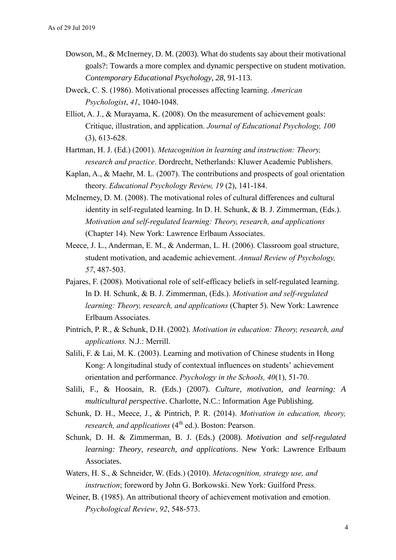- Dowson, M., & McInerney, D. M. (2003). What do students say about their motivational goals?: Towards a more complex and dynamic perspective on student motivation. *Contemporary Educational Psychology*, *28*, 91-113.
- Dweck, C. S. (1986). Motivational processes affecting learning. *American Psychologist*, *41*, 1040-1048.
- Elliot, A. J., & Murayama, K. (2008). On the measurement of achievement goals: Critique, illustration, and application. *Journal of Educational Psychology, 100*  (3), 613-628.
- Hartman, H. J. (Ed.) (2001). *Metacognition in learning and instruction: Theory, research and practice*. Dordrecht, Netherlands: Kluwer Academic Publishers.
- Kaplan, A., & Maehr, M. L. (2007). The contributions and prospects of goal orientation theory. *Educational Psychology Review, 19* (2), 141-184.
- McInerney, D. M. (2008). The motivational roles of cultural differences and cultural identity in self-regulated learning. In D. H. Schunk, & B. J. Zimmerman, (Eds.). *Motivation and self-regulated learning: Theory, research, and applications*  (Chapter 14). New York: Lawrence Erlbaum Associates.
- Meece, J. L., Anderman, E. M., & Anderman, L. H. (2006). Classroom goal structure, student motivation, and academic achievement. *Annual Review of Psychology, 57*, 487-503.
- Pajares, F. (2008). Motivational role of self-efficacy beliefs in self-regulated learning. In D. H. Schunk, & B. J. Zimmerman, (Eds.). *Motivation and self-regulated learning: Theory, research, and applications* (Chapter 5). New York: Lawrence Erlbaum Associates.
- Pintrich, P. R., & Schunk, D.H. (2002). *Motivation in education: Theory, research, and applications.* N.J.: Merrill.
- Salili, F. & Lai, M. K. (2003). Learning and motivation of Chinese students in Hong Kong: A longitudinal study of contextual influences on students' achievement orientation and performance. *Psychology in the Schools, 40*(1), 51-70.
- Salili, F., & Hoosain, R. (Eds.) (2007). *Culture, motivation, and learning: A multicultural perspective*. Charlotte, N.C.: Information Age Publishing.
- Schunk, D. H., Meece, J., & Pintrich, P. R. (2014). *Motivation in education, theory, research, and applications* (4<sup>th</sup> ed.). Boston: Pearson.
- Schunk, D. H. & Zimmerman, B. J. (Eds.) (2008). *Motivation and self-regulated learning: Theory, research, and applications*. New York: Lawrence Erlbaum Associates.
- Waters, H. S., & Schneider, W. (Eds.) (2010). *Metacognition, strategy use, and instruction*; foreword by John G. Borkowski. New York: Guilford Press.
- Weiner, B. (1985). An attributional theory of achievement motivation and emotion. *Psychological Review*, *92*, 548-573.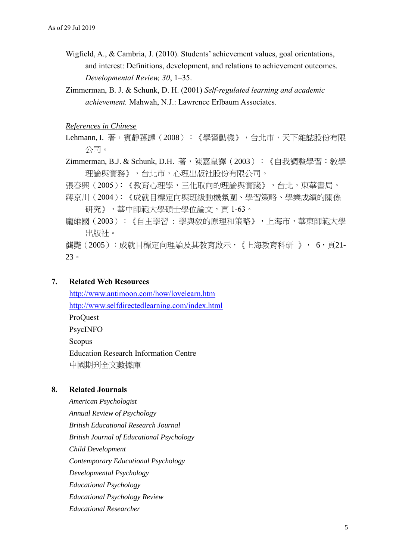- Wigfield, A., & Cambria, J. (2010). Students' achievement values, goal orientations, and interest: Definitions, development, and relations to achievement outcomes. *Developmental Review, 30*, 1–35.
- Zimmerman, B. J. & Schunk, D. H. (2001) *Self-regulated learning and academic achievement.* Mahwah, N.J.: Lawrence Erlbaum Associates.

### *References in Chinese*

- Lehmann, I. 著,賓靜蓀譯(2008):《學習動機》,台北市,天下雜誌股份有限 公司。
- Zimmerman, B.J. & Schunk, D.H. 著,陳嘉皇譯(2003):《自我調整學習:敎學 理論與實務》,台北市,心理出版社股份有限公司。
- 張春興(2005):《教育心理學,三化取向的理論與實踐》,台北,東華書局。
- 蔣京川(2004):《成就目標定向與班級動機氛圍、學習策略、學業成績的關係 研究》,華中師範大學碩士學位論文,頁1-63。
- 龐維國(2003):《自主學習 : 學與敎的原理和策略》,上海市,華東師範大學 出版社。

龔艷(2005):成就目標定向理論及其教育啟示,《上海教育科研 》, 6,頁21- 23。

# **7. Related Web Resources**

<http://www.antimoon.com/how/lovelearn.htm> <http://www.selfdirectedlearning.com/index.html> ProQuest PsycINFO Scopus Education Research Information Centre 中國期刋全文數據庫

# **8. Related Journals**

*American Psychologist Annual Review of Psychology British Educational Research Journal British Journal of Educational Psychology Child Development Contemporary Educational Psychology Developmental Psychology Educational Psychology Educational Psychology Review Educational Researcher*